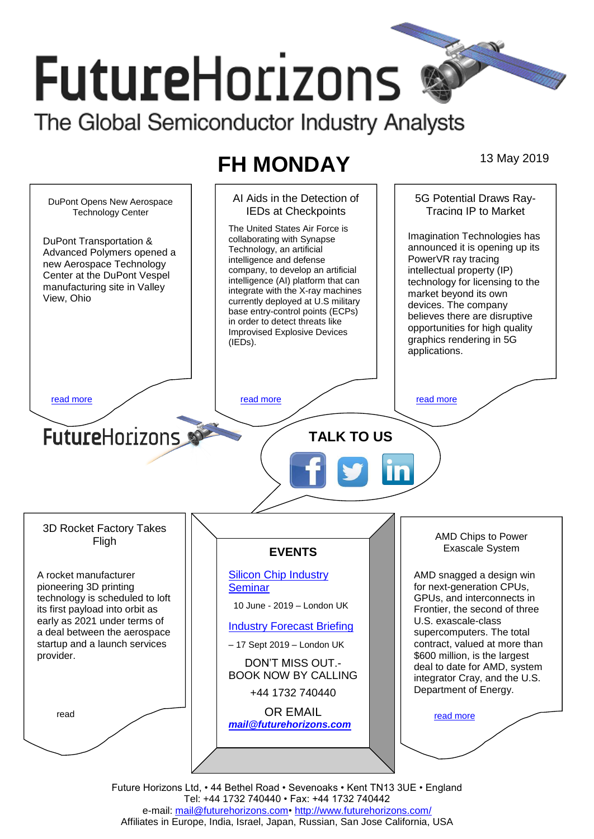# **FutureHorizons**

The Global Semiconductor Industry Analysts

# **FH MONDAY** 13 May 2019

AI Aids in the Detection of 5G Potential Draws Ray-DuPont Opens New Aerospace IEDs at Checkpoints Tracing IP to Market Technology Center The United States Air Force is Imagination Technologies has collaborating with Synapse DuPont Transportation & announced it is opening up its Technology, an artificial Advanced Polymers opened a PowerVR ray tracing intelligence and defense new Aerospace Technology company, to develop an artificial intellectual property (IP) Center at the DuPont Vespel intelligence (AI) platform that can technology for licensing to the manufacturing site in Valley integrate with the X-ray machines market beyond its own View, Ohio currently deployed at U.S military devices. The company base entry-control points (ECPs) believes there are disruptive in order to detect threats like opportunities for high quality Improvised Explosive Devices graphics rendering in 5G (IEDs). applications. [read more](#page-1-1) that the second contract the second contract of the read more that the read more that the read more **Future**Horizons **TALK TO US** 3D Rocket Factory Takes AMD Chips to Power Fligh Exascale System **EVENTS** [Silicon Chip Industry](http://www.futurehorizons.com/page/12/silicon-chip-training)  A rocket manufacturer AMD snagged a design win for next-generation CPUs, pioneering 3D printing **[Seminar](http://www.futurehorizons.com/page/12/silicon-chip-training)** technology is scheduled to loft GPUs, and interconnects in 10 June - 2019 – London UK its first payload into orbit as Frontier, the second of three early as 2021 under terms of U.S. exascale-class [Industry Forecast Briefing](http://www.futurehorizons.com/page/13/Semiconductor-Market-Forecast-Seminar) a deal between the aerospace supercomputers. The total startup and a launch services – 17 Sept 2019 – London UK contract, valued at more than \$600 million, is the largest provider.DON'T MISS OUT. deal to date for AMD, system BOOK NOW BY CALLING integrator Cray, and the U.S. Department of Energy. +44 1732 740440 OR EMAIL read [read more](#page-1-4) *[mail@futurehorizons.com](mailto:mail@futurehorizons.com)*

Future Horizons Ltd, • 44 Bethel Road • Sevenoaks • Kent TN13 3UE • England Tel: +44 1732 740440 • Fax: +44 1732 740442 e-mail: [mail@futurehorizons.com•](../FH%20Monday%20-%202017/mail@futurehorizons.com)<http://www.futurehorizons.com/> Affiliates in Europe, India, Israel, Japan, Russian, San Jose California, USA